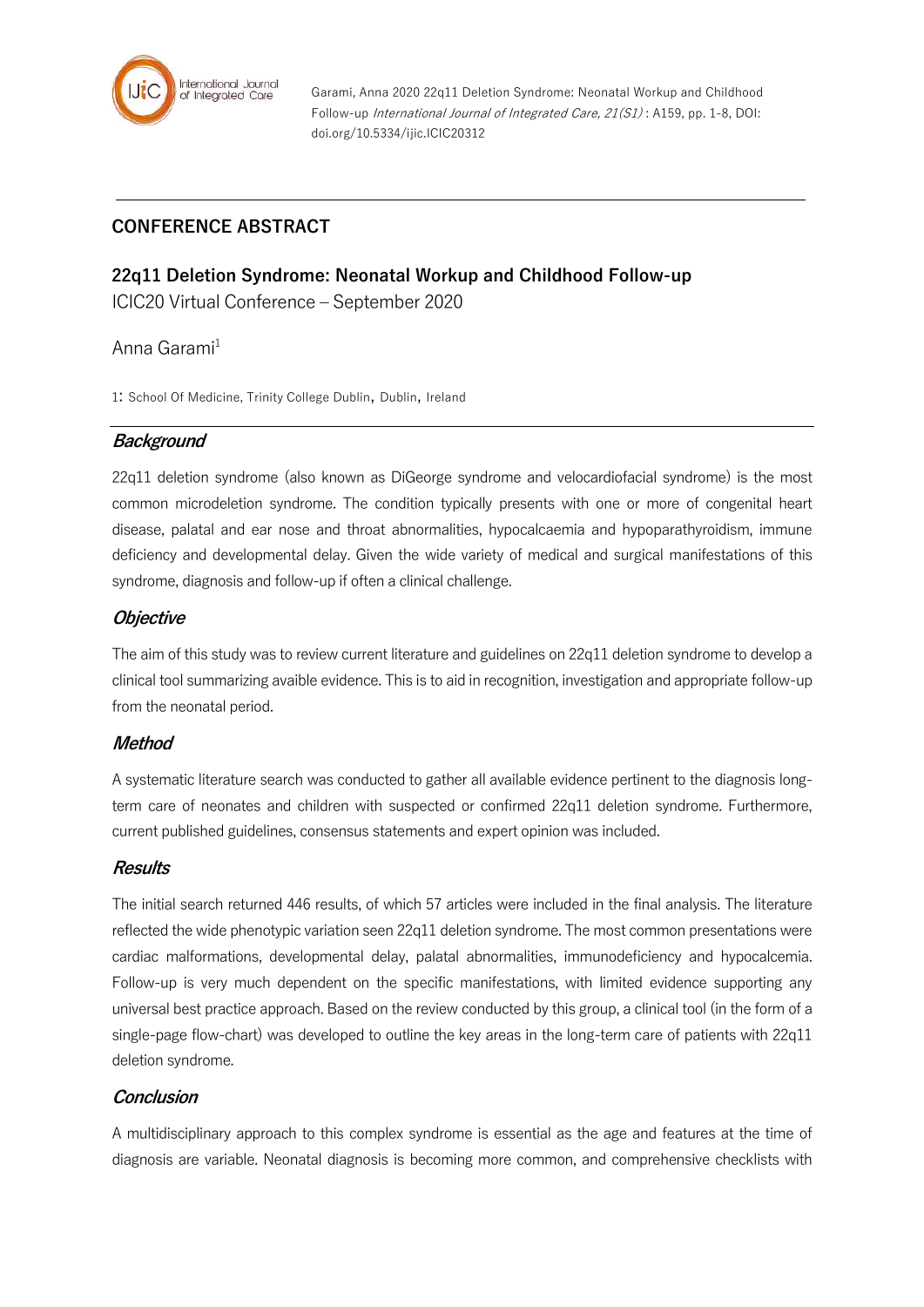

Garami, Anna 2020 22q11 Deletion Syndrome: Neonatal Workup and Childhood Follow-up International Journal of Integrated Care, 21(S1) : A159, pp. 1-8, DOI: doi.org/10.5334/ijic.ICIC20312

# **CONFERENCE ABSTRACT**

## **22q11 Deletion Syndrome: Neonatal Workup and Childhood Follow-up**

ICIC20 Virtual Conference – September 2020

## Anna Garami $<sup>1</sup>$ </sup>

1: School Of Medicine, Trinity College Dublin, Dublin, Ireland

## **Background**

22q11 deletion syndrome (also known as DiGeorge syndrome and velocardiofacial syndrome) is the most common microdeletion syndrome. The condition typically presents with one or more of congenital heart disease, palatal and ear nose and throat abnormalities, hypocalcaemia and hypoparathyroidism, immune deficiency and developmental delay. Given the wide variety of medical and surgical manifestations of this syndrome, diagnosis and follow-up if often a clinical challenge.

## **Objective**

The aim of this study was to review current literature and guidelines on 22q11 deletion syndrome to develop a clinical tool summarizing avaible evidence. This is to aid in recognition, investigation and appropriate follow-up from the neonatal period.

## **Method**

A systematic literature search was conducted to gather all available evidence pertinent to the diagnosis longterm care of neonates and children with suspected or confirmed 22q11 deletion syndrome. Furthermore, current published guidelines, consensus statements and expert opinion was included.

## **Results**

The initial search returned 446 results, of which 57 articles were included in the final analysis. The literature reflected the wide phenotypic variation seen 22q11 deletion syndrome. The most common presentations were cardiac malformations, developmental delay, palatal abnormalities, immunodeficiency and hypocalcemia. Follow-up is very much dependent on the specific manifestations, with limited evidence supporting any universal best practice approach. Based on the review conducted by this group, a clinical tool (in the form of a single-page flow-chart) was developed to outline the key areas in the long-term care of patients with 22q11 deletion syndrome.

## **Conclusion**

A multidisciplinary approach to this complex syndrome is essential as the age and features at the time of diagnosis are variable. Neonatal diagnosis is becoming more common, and comprehensive checklists with